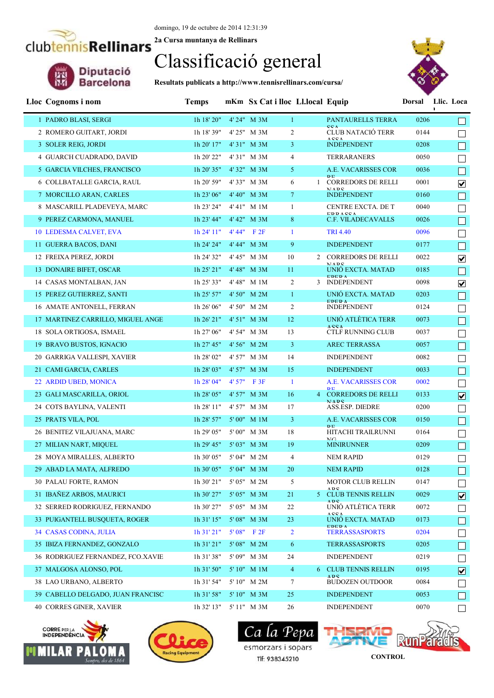domingo, 19 de octubre de 2014 12:31:39 **2a Cursa muntanya de Rellinars**

#### Classificació general

**Resultats publicats a http://www.tennisrellinars.com/cursa/**



| Lloc Cognoms i nom                | <b>Temps</b>           | mKm Sx Cat i lloc Ll.local Equip |                |                                                    |      | Dorsal Llic. Loca<br>п  |
|-----------------------------------|------------------------|----------------------------------|----------------|----------------------------------------------------|------|-------------------------|
| 1 PADRO BLASI, SERGI              | 1h 18' 20"             | 4' 24" M 3M                      | $\mathbf{1}$   | PANTAURELLS TERRA                                  | 0206 |                         |
| 2 ROMERO GUITART, JORDI           | 1h 18' 39"             | 4' 25" M 3M                      | $\overline{2}$ | CCA<br><b>CLUB NATACIÓ TERR</b>                    | 0144 |                         |
| 3 SOLER REIG, JORDI               | 1h 20' 17"             | 4'31" M 3M                       | 3 <sup>1</sup> | ACCA<br><b>INDEPENDENT</b>                         | 0208 |                         |
| 4 GUARCH CUADRADO, DAVID          | 1h 20' 22"             | 4'31" M 3M                       | $\overline{4}$ | <b>TERRARANERS</b>                                 | 0050 |                         |
| 5 GARCIA VILCHES, FRANCISCO       | 1h 20' 35"             | 4'32" M 3M                       | 5 <sup>1</sup> | A.E. VACARISSES COR                                | 0036 | $\Box$                  |
| 6 COLLBATALLE GARCIA, RAUL        | 1h 20' 59"             | 4'33" M 3M                       | 6              | D <sub>E</sub><br><b>CORREDORS DE RELLI</b>        | 0001 | $\blacktriangledown$    |
| 7 MORCILLO ARAN, CARLES           | 1h 23' 06"             | 4' 40" M 3M                      | 7 <sup>1</sup> | MADC<br><b>INDEPENDENT</b>                         | 0160 |                         |
| 8 MASCARILL PLADEVEYA, MARC       | 1h 23' 24"             | 4' 41" M 1M                      | $\mathbf{1}$   | CENTRE EXCTA. DE T                                 | 0040 |                         |
| 9 PEREZ CARMONA, MANUEL           | 1h 23' 44"             | $4' 42''$ M $3M$                 | 8              | <b>EDDACCA</b><br>C.F. VILADECAVALLS               | 0026 | $\Box$                  |
| 10 LEDESMA CALVET, EVA            | 1h 24' 11''            | $4' 44''$ F $2F$                 | $\mathbf{1}$   | <b>TRI 4.40</b>                                    | 0096 |                         |
| 11 GUERRA BACOS, DANI             | 1h 24' 24"             | 4' 44" M 3M                      | 9              | <b>INDEPENDENT</b>                                 | 0177 | $\Box$                  |
| 12 FREIXA PEREZ, JORDI            | 1h 24' 32"             | 4' 45" M 3M                      | 10             | 2 CORREDORS DE RELLI                               | 0022 | $\blacktriangledown$    |
| 13 DONAIRE BIFET, OSCAR           | $1h$ 25' $21"$         | 4' 48" M 3M                      | 11             | MADC<br>UNIO EXCTA. MATAD                          | 0185 | $\Box$                  |
| 14 CASAS MONTALBAN, JAN           | 1h 25' 33"             | 4'48" M 1M                       | $\overline{2}$ | <b>EDED A</b><br>3 INDEPENDENT                     | 0098 | $\overline{\mathbf{v}}$ |
| 15 PEREZ GUTIERREZ, SANTI         | $1h$ 25' 57"           | 4' 50" M 2M                      | $\mathbf{1}$   | UNIÓ EXCTA, MATAD                                  | 0203 | $\Box$                  |
| 16 AMATE ANTONELL, FERRAN         | 1h 26' 06"             | 4' 50" M 2M                      | $\overline{2}$ | <b>EDED A</b><br><b>INDEPENDENT</b>                | 0124 | $\Box$                  |
| 17 MARTINEZ CARRILLO, MIGUEL ANGE | 1h 26' 21"             | 4' 51" M 3M                      | 12             | UNIÓ ATLÈTICA TERR                                 | 0073 | $\Box$                  |
| 18 SOLA ORTIGOSA, ISMAEL          | 1h 27' 06"             | 4' 54" M 3M                      | 13             | <b>ACCA</b><br><b>CTLF RUNNING CLUB</b>            | 0037 |                         |
| 19 BRAVO BUSTOS, IGNACIO          | $1h$ 27' 45"           | $4'56''$ M $2M$                  | 3              | <b>AREC TERRASSA</b>                               | 0057 | $\Box$                  |
| 20 GARRIGA VALLESPI, XAVIER       | 1h 28' 02"             | 4' 57" M 3M                      | 14             | <b>INDEPENDENT</b>                                 | 0082 |                         |
| 21 CAMI GARCIA, CARLES            | 1h 28' 03"             | 4' 57" M 3M                      | 15             | <b>INDEPENDENT</b>                                 | 0033 | $\Box$                  |
| 22 ARDID UBED, MONICA             | 1h 28' 04"             | $4'57''$ F 3F                    | $\mathbf{1}$   | A.E. VACARISSES COR                                | 0002 | П                       |
| 23 GALI MASCARILLA, ORIOL         | 1h 28' 05"             | 4' 57" M 3M                      | 16             | D <sub>D</sub><br><b>4 CORREDORS DE RELLI</b>      | 0133 | $\overline{\mathbf{v}}$ |
| 24 COTS BAYLINA, VALENTI          | 1h 28' 11"             | 4' 57" M 3M                      | 17             | MADC<br>ASS.ESP. DIEDRE                            | 0200 |                         |
| 25 PRATS VILA, POL                | 1h 28' 57"             | $5'00''$ M 1M                    | 3              | A.E. VACARISSES COR                                | 0150 |                         |
| 26 BENITEZ VILAJUANA, MARC        | 1h 29' 05"             | 5'00" M 3M                       | 18             | D <sub>E</sub><br>HITACHI TRAILRUNNI<br><b>NIC</b> | 0164 |                         |
| 27 MILIAN NART, MIQUEL            | 1h 29' 45"             | 5' 03" M 3M                      | 19             | <b>MINIRUNNER</b>                                  | 0209 |                         |
| 28 MOYA MIRALLES, ALBERTO         | 1h 30' 05"             | 5'04" M 2M                       | $\overline{4}$ | <b>NEM RAPID</b>                                   | 0129 |                         |
| 29 ABAD LA MATA, ALFREDO          | 1h 30' 05" 5' 04" M 3M |                                  | 20             | <b>NEM RAPID</b>                                   | 0128 | $\Box$                  |
| 30 PALAU FORTE, RAMON             | $1h$ 30' $21"$         | 5' 05" M 2M                      | 5              | <b>MOTOR CLUB RELLIN</b>                           | 0147 |                         |
| 31 IBAÑEZ ARBOS, MAURICI          | 1h 30' 27"             | 5' 05" M 3M                      | 21             | ADC<br>5 CLUB TENNIS RELLIN                        | 0029 | $\overline{\mathbf{v}}$ |
| 32 SERRED RODRIGUEZ, FERNANDO     | 1h 30' 27"             | 5' 05" M 3M                      | 22             | ADC.<br>UNIÓ ATLÈTICA TERR                         | 0072 | ⊔                       |
| 33 PUIGANTELL BUSQUETA, ROGER     | 1h 31' 15"             | 5' 08" M 3M                      | 23             | ACCA<br>UNIÓ EXCTA. MATAD<br><b>EDED A</b>         | 0173 |                         |
| 34 CASAS CODINA, JULIA            | $1h$ 31' $21"$         | $5'08''$ F $2F$                  | $\overline{2}$ | <b>TERRASSASPORTS</b>                              | 0204 |                         |
| 35 IBIZA FERNANDEZ, GONZALO       | $1h$ 31' 21"           | 5' 08" M 2M                      | 6              | <b>TERRASSASPORTS</b>                              | 0205 |                         |
| 36 RODRIGUEZ FERNANDEZ, FCO.XAVIE | 1h 31' 38"             | 5' 09" M 3M                      | 24             | <b>INDEPENDENT</b>                                 | 0219 |                         |
| 37 MALGOSA ALONSO, POL            | 1h 31' 50"             | 5' 10" M 1M                      | $\overline{4}$ | 6 CLUB TENNIS RELLIN                               | 0195 | $\overline{\mathbf{v}}$ |
| 38 LAO URBANO, ALBERTO            | 1h 31' 54"             | 5' 10" M 2M                      | 7              | <b>ADC</b><br><b>BUDOZEN OUTDOOR</b>               | 0084 |                         |
| 39 CABELLO DELGADO, JUAN FRANCISC | 1h 31' 58"             | 5' 10" M 3M                      | 25             | <b>INDEPENDENT</b>                                 | 0053 |                         |
| <b>40 CORRES GINER, XAVIER</b>    | 1h 32' 13" 5' 11" M 3M |                                  | 26             | <b>INDEPENDENT</b>                                 | 0070 |                         |





 $\epsilon$ Ca *la* esmorzars i sopars Tlf: 938345210

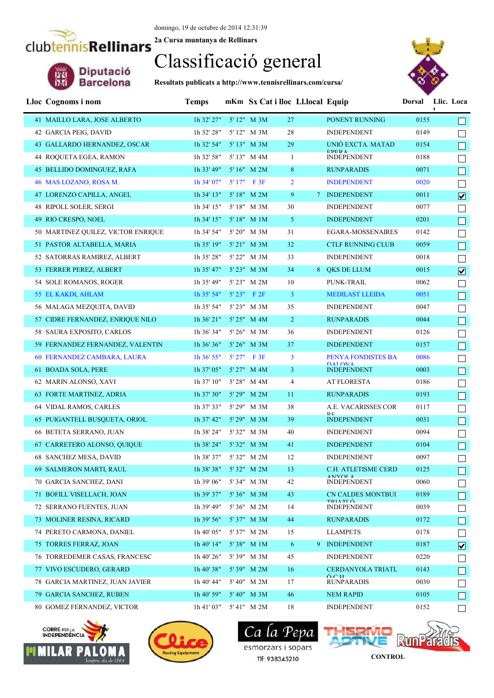**2a Cursa muntanya de Rellinars** clubtennisRellinars

# Diputació<br>Barcelona

Classificació general

**Resultats publicats a http://www.tennisrellinars.com/cursa/**



| Lloc Cognoms i nom                 | <b>Temps</b>           | mKm Sx Cat i lloc Ll.local Equip |                |                                             |      | Dorsal Llic. Loca<br>L. |
|------------------------------------|------------------------|----------------------------------|----------------|---------------------------------------------|------|-------------------------|
| 41 MAILLO LARA, JOSE ALBERTO       | 1h 32' 27"             | 5' 12" M 3M                      | 27             | PONENT RUNNING                              | 0155 |                         |
| 42 GARCIA PEIG, DAVID              | 1h 32' 28"             | 5' 12" M 3M                      | 28             | <b>INDEPENDENT</b>                          | 0149 |                         |
| 43 GALLARDO HERNANDEZ, OSCAR       | 1h 32' 54"             | 5' 13" M 3M                      | 29             | UNIÓ EXCTA. MATAD                           | 0154 | $\Box$                  |
| 44 ROQUETA EGEA, RAMON             | 1h 32' 58"             | 5' 13" M 4M                      | $\mathbf{1}$   | <b>EDEDA</b><br><b>INDEPENDENT</b>          | 0188 |                         |
| 45 BELLIDO DOMINGUEZ, RAFA         | 1h 33' 49"             | 5' 16" M 2M                      | 8              | <b>RUNPARADIS</b>                           | 0071 | $\Box$                  |
| 46 MAS LOZANO, ROSA M.             | $1h$ 34' 07"           | $5'17''$ F 3F                    | $\overline{2}$ | <b>INDEPENDENT</b>                          | 0020 | $\Box$                  |
| 47 LORENZO CAPILLA, ANGEL          | $1h$ 34' $13"$         | 5' 18" M 2M                      | 9              | 7 INDEPENDENT                               | 0011 | $\overline{\mathbf{v}}$ |
| 48 RIPOLL SOLER, SERGI             | 1h 34' 15"             | 5' 18" M 3M                      | 30             | <b>INDEPENDENT</b>                          | 0077 | $\Box$                  |
| 49 RIO CRESPO, NOEL                | $1h$ 34' $15"$         | 5'18" M 1M                       | 5 <sup>1</sup> | <b>INDEPENDENT</b>                          | 0201 | $\Box$                  |
| 50 MARTINEZ QUILEZ, VICTOR ENRIQUE | 1h 34' 54"             | 5' 20" M 3M                      | 31             | EGARA-MOSSENAIRES                           | 0142 | $\Box$                  |
| 51 PASTOR ALTABELLA, MARIA         | $1h$ 35' $19"$         | $5'$ 21" M 3M                    | 32             | <b>CTLF RUNNING CLUB</b>                    | 0059 | $\Box$                  |
| 52 SATORRAS RAMIREZ, ALBERT        | 1h 35' 28"             | 5' 22" M 3M                      | 33             | <b>INDEPENDENT</b>                          | 0018 | $\Box$                  |
| 53 FERRER PEREZ, ALBERT            | $1h$ 35' 47"           | $5'$ 23" M 3M                    | 34             | 8 QKS DE LLUM                               | 0015 | $\overline{\mathbf{v}}$ |
| 54 SOLE ROMANOS, ROGER             | 1h 35' 49"             | 5' 23" M 2M                      | 10             | PUNK-TRAIL                                  | 0062 | $\Box$                  |
| 55 EL KAKDI, AHLAM                 | 1h 35' 54"             | $5'23''$ F 2F                    | $\mathbf{3}$   | <b>MEDILAST LLEIDA</b>                      | 0051 | $\Box$                  |
| 56 MALAGA MEZQUITA, DAVID          | 1h 35' 54"             | 5' 23" M 3M                      | 35             | <b>INDEPENDENT</b>                          | 0047 | $\Box$                  |
| 57 CIDRE FERNANDEZ, ENRIQUE NILO   | 1h 36' 21"             | $5'25''$ M 4M                    | $\overline{2}$ | <b>RUNPARADIS</b>                           | 0044 | $\Box$                  |
| 58 SAURA EXPOSITO, CARLOS          | 1h 36' 34"             | 5' 26" M 3M                      | 36             | <b>INDEPENDENT</b>                          | 0126 | ⊔                       |
| 59 FERNANDEZ FERNANDEZ, VALENTIN   | 1h 36' 36"             | $5'26''$ M $3M$                  | 37             | <b>INDEPENDENT</b>                          | 0157 | $\Box$                  |
| 60 FERNANDEZ CAMBARA, LAURA        | $1h\,36'$ 55"          | $5'27''$ F 3F                    | $\mathbf{3}$   | <b>PENYA FONDISTES BA</b>                   | 0086 | $\Box$                  |
| 61 BOADA SOLA, PERE                | 1h 37' 05"             | $5'$ 27" M 4M                    | 3              | <b>DAT ONIA</b><br><b>INDEPENDENT</b>       | 0003 | $\Box$                  |
| 62 MARIN ALONSO, XAVI              | 1h 37' 10"             | 5' 28" M 4M                      | $\overline{4}$ | <b>AT FLORESTA</b>                          | 0186 | $\Box$                  |
| 63 FORTE MARTINEZ, ADRIA           | 1h 37' 30"             | $5'29''$ M $2M$                  | 11             | <b>RUNPARADIS</b>                           | 0193 |                         |
| 64 VIDAL RAMOS, CARLES             | 1h 37' 33"             | 5' 29" M 3M                      | 38             | A.E. VACARISSES COR                         | 0117 |                         |
| 65 PUIGANTELL BUSQUETA, ORIOL      | $1h$ 37' 42"           | 5' 29" M 3M                      | 39             | D <sub>E</sub><br><b>INDEPENDENT</b>        | 0031 |                         |
| 66 BETETA SERRANO, JUAN            | 1h 38' 24"             | 5' 32" M 3M                      | 40             | <b>INDEPENDENT</b>                          | 0094 |                         |
| 67 CARRETERO ALONSO, QUIQUE        | 1h 38' 24"             | 5' 32" M 3M                      | 41             | <b>INDEPENDENT</b>                          | 0104 |                         |
| 68 SANCHEZ MESA, DAVID             | 1h 38' 37"             | 5' 32" M 2M                      | 12             | <b>INDEPENDENT</b>                          | 0097 |                         |
| 69 SALMERON MARTI, RAUL            | 1h 38' 38" 5' 32" M 2M |                                  | 13             | C.H. ATLETISME CERD                         | 0125 | $\Box$                  |
| 70 GARCIA SANCHEZ, DANI            | 1h 39' 06"             | 5' 34" M 3M                      | 42             | <b>ANIVOLA</b><br><b>INDEPENDENT</b>        | 0060 |                         |
| 71 BOFILL VISELLACH, JOAN          | 1h 39' 37"             | 5' 36" M 3M                      | 43             | <b>CN CALDES MONTBUI</b><br><b>TDIATI</b> Ó | 0189 |                         |
| 72 SERRANO FUENTES, JUAN           | 1h 39' 49"             | 5' 36" M 2M                      | 14             | <b>INDEPENDENT</b>                          | 0039 |                         |
| 73 MOLINER RESINA, RICARD          | $1h$ 39' 56"           | 5' 37" M 3M                      | 44             | <b>RUNPARADIS</b>                           | 0172 |                         |
| 74 PERETO CARMONA, DANIEL          | 1h 40' 05"             | 5'37" M 2M                       | 15             | <b>LLAMPETS</b>                             | 0178 |                         |
| 75 TORRES FERRAZ, JOAN             | 1h 40' 14"             | 5'38" M 1M                       | 6              | 9 INDEPENDENT                               | 0187 | $\boxed{\text{v}}$      |
| 76 TORREDEMER CASAS, FRANCESC      | 1h 40' 26"             | 5'39" M 3M                       | 45             | <b>INDEPENDENT</b>                          | 0220 | $\Box$                  |
| 77 VIVO ESCUDERO, GERARD           | 1h40'38"               | 5' 39" M 2M                      | 16             | <b>CERDANYOLA TRIATL</b>                    | 0143 |                         |
| 78 GARCIA MARTINEZ, JUAN JAVIER    | 1h 40' 44"             | 5' 40" M 2M                      | 17             | Áсн<br><b>RUNPARADIS</b>                    | 0030 |                         |
| 79 GARCIA SANCHEZ, RUBEN           | 1h40'59"               | $5' 40''$ M $3M$                 | 46             | <b>NEM RAPID</b>                            | 0105 |                         |
| 80 GOMEZ FERNANDEZ, VICTOR         | 1h 41' 03"             | 5' 41" M 2M                      | 18             | <b>INDEPENDENT</b>                          | 0152 |                         |





 $\epsilon$ Ca *la* esmorzars i sopars Tlf: 938345210

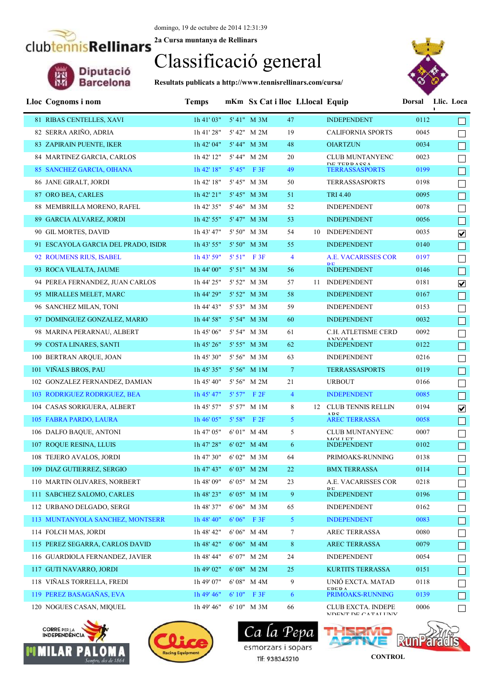## Classificació general

**Resultats publicats a http://www.tennisrellinars.com/cursa/**



| Lloc Cognoms i nom                  | <b>Temps</b>           |       | mKm Sx Cat i lloc Ll.local Equip |                |                                                     | Dorsal Llic. Loca | $\mathbf I$ |                         |
|-------------------------------------|------------------------|-------|----------------------------------|----------------|-----------------------------------------------------|-------------------|-------------|-------------------------|
| 81 RIBAS CENTELLES, XAVI            | 1h41'03"               |       | 5'41" M 3M<br>47                 |                | <b>INDEPENDENT</b>                                  | 0112              |             |                         |
| 82 SERRA ARIÑO, ADRIA               | 1h 41' 28"             |       | 5' 42" M 2M                      | 19             | <b>CALIFORNIA SPORTS</b>                            | 0045              |             |                         |
| 83 ZAPIRAIN PUENTE, IKER            | 1h 42' 04"             |       | 5' 44" M 3M<br>48                |                | <b>OIARTZUN</b>                                     | 0034              |             |                         |
| 84 MARTINEZ GARCIA, CARLOS          | 1h 42' 12"             |       | 5' 44" M 2M                      | 20             | <b>CLUB MUNTANYENC</b>                              | 0023              |             |                         |
| 85 SANCHEZ GARCIA, OIHANA           | 1h 42' 18"             |       | $5'45''$ F 3F                    | 49             | <b>DE TEDD A CCA</b><br><b>TERRASSASPORTS</b>       | 0199              |             |                         |
| 86 JANE GIRALT, JORDI               | 1h 42' 18"             |       | 5' 45" M 3M<br>50                |                | <b>TERRASSASPORTS</b>                               | 0198              |             |                         |
| 87 ORO BEA, CARLES                  | 1h 42' 21"             |       | 5' 45" M 3M<br>51                |                | <b>TRI 4.40</b>                                     | 0095              |             |                         |
| 88 MEMBRILLA MORENO, RAFEL          | 1h 42' 35"             |       | 5' 46" M 3M                      | 52             | <b>INDEPENDENT</b>                                  | 0078              |             |                         |
| 89 GARCIA ALVAREZ, JORDI            | 1h 42' 55"             |       | 53<br>5' 47" M 3M                |                | <b>INDEPENDENT</b>                                  | 0056              |             |                         |
| 90 GIL MORTES, DAVID                | 1h 43' 47"             |       | 5' 50" M 3M                      | 54             | 10 INDEPENDENT                                      | 0035              |             | $\overline{\mathbf{v}}$ |
| 91 ESCAYOLA GARCIA DEL PRADO, ISIDR | $1h$ 43' 55"           |       | 5' 50" M 3M                      | 55             | <b>INDEPENDENT</b>                                  | 0140              |             |                         |
| 92 ROUMENS RIUS, ISABEL             | 1h 43' 59"             |       | 5' 51" F 3F                      | $\overline{4}$ | A.E. VACARISSES COR<br><b>DE</b>                    | 0197              |             |                         |
| 93 ROCA VILALTA, JAUME              | 1h 44' 00"             |       | 5' 51" M 3M                      | 56             | <b>INDEPENDENT</b>                                  | 0146              |             | $\Box$                  |
| 94 PEREA FERNANDEZ, JUAN CARLOS     | 1h 44' 25"             |       | 5' 52" M 3M                      | 57<br>11       | <b>INDEPENDENT</b>                                  | 0181              |             | $\blacktriangledown$    |
| 95 MIRALLES MELET, MARC             | 1h 44' 29"             |       | 5' 52" M 3M                      | 58             | <b>INDEPENDENT</b>                                  | 0167              |             |                         |
| 96 SANCHEZ MILAN, TONI              | 1h 44' 43"             |       | 5' 53" M 3M                      | 59             | <b>INDEPENDENT</b>                                  | 0153              |             |                         |
| 97 DOMINGUEZ GONZALEZ, MARIO        | 1h 44' 58"             |       | 5' 54" M 3M                      | 60             | <b>INDEPENDENT</b>                                  | 0032              |             |                         |
| 98 MARINA PERARNAU, ALBERT          | 1h 45' 06"             |       | 5' 54" M 3M                      | 61             | C.H. ATLETISME CERD                                 | 0092              |             |                         |
| 99 COSTA LINARES, SANTI             | 1h 45' 26"             |       | 5' 55" M 3M<br>62                |                | <b>ANIVAL A</b><br><b>INDEPENDENT</b>               | 0122              |             |                         |
| 100 BERTRAN ARQUE, JOAN             | 1h 45' 30"             |       | 5' 56" M 3M                      | 63             | <b>INDEPENDENT</b>                                  | 0216              |             |                         |
| 101 VIÑALS BROS, PAU                | 1h 45' 35"             |       | 5' 56" M 1M                      | $\mathcal{I}$  | <b>TERRASSASPORTS</b>                               | 0119              |             |                         |
| 102 GONZALEZ FERNANDEZ, DAMIAN      | 1h 45' 40"             |       | 5' 56" M 2M                      | 21             | <b>URBOUT</b>                                       | 0166              |             |                         |
| 103 RODRIGUEZ RODRIGUEZ, BEA        | $1h$ 45' 47"           |       | 5' 57" F 2F                      | $\overline{4}$ | <b>INDEPENDENT</b>                                  | 0085              |             |                         |
| 104 CASAS SORIGUERA, ALBERT         | 1h 45' 57"             |       | 5' 57" M 1M                      | 8              | 12 CLUB TENNIS RELLIN<br>ADC                        | 0194              |             | $\overline{\mathbf{v}}$ |
| 105 FABRA PARDO, LAURA              | 1h 46' 05"             |       | $5'58''$ F $2F$                  | 5 <sup>1</sup> | <b>AREC TERRASSA</b>                                | 0058              |             |                         |
| 106 DALFO BAQUE, ANTONI             | 1h 47' 05"             |       | 6'01" M 4M                       | 5              | <b>CLUB MUNTANYENC</b><br>MOLL ET                   | 0007              |             |                         |
| 107 ROQUE RESINA, LLUIS             | 1h 47' 28"             |       | 6'02" M 4M                       | 6              | <b>INDEPENDENT</b>                                  | 0102              |             |                         |
| 108 TEJERO AVALOS, JORDI            | 1h 47' 30"             |       | 6'02" M 3M                       | 64             | PRIMOAKS-RUNNING                                    | 0138              |             |                         |
| 109 DIAZ GUTIERREZ, SERGIO          | 1h 47' 43" 6' 03" M 2M |       |                                  | 22             | BMX TERRASSA                                        | 0114              |             |                         |
| 110 MARTIN OLIVARES, NORBERT        | 1h 48' 09"             |       | 6'05" M 2M                       | 23             | A.E. VACARISSES COR                                 | 0218              |             | $\Box$                  |
| 111 SABCHEZ SALOMO, CARLES          | 1h 48' 23"             |       | 6'05" M 1M                       | 9              | <b>INDEPENDENT</b>                                  | 0196              |             | П                       |
| 112 URBANO DELGADO, SERGI           | 1h 48' 37"             |       | 6'06" M 3M                       | 65             | <b>INDEPENDENT</b>                                  | 0162              |             | ⊔                       |
| 113 MUNTANYOLA SANCHEZ, MONTSERR    | 1h 48' 40"             |       | 6'06" F 3F                       | 5 <sup>1</sup> | <b>INDEPENDENT</b>                                  | 0083              |             | H                       |
| 114 FOLCH MAS, JORDI                | 1h 48' 42"             |       | 6'06" M 4M                       | 7              | AREC TERRASSA                                       | 0080              |             | $\Box$                  |
| 115 PEREZ SEGARRA, CARLOS DAVID     | 1h 48' 42"             |       | 6'06" M 4M                       | 8              | AREC TERRASSA                                       | 0079              |             | $\Box$                  |
| 116 GUARDIOLA FERNANDEZ, JAVIER     | 1h 48' 44"             |       | 6'07" M 2M                       | 24             | <b>INDEPENDENT</b>                                  | 0054              |             | $\Box$                  |
| 117 GUTI NAVARRO, JORDI             | 1h 49' 02"             |       | $6'08''$ M $2M$                  | 25             | KURTITS TERRASSA                                    | 0151              |             |                         |
| 118 VIÑALS TORRELLA, FREDI          | 1h 49' 07"             |       | 6'08" M 4M                       | 9              | UNIÓ EXCTA. MATAD<br><b>EDEDA</b>                   | 0118              |             |                         |
| 119 PEREZ BASAGAÑAS, EVA            | $1h$ 49' 46"           | 6'10" | F3F                              | 6              | PRIMOAKS-RUNNING                                    | 0139              |             |                         |
| 120 NOGUES CASAN, MIQUEL            | 1h 49' 46"             |       | 6' 10" M 3M                      | 66             | <b>CLUB EXCTA. INDEPE</b><br>NIDENIT DE CATALI INIV | 0006              |             | $\Box$                  |







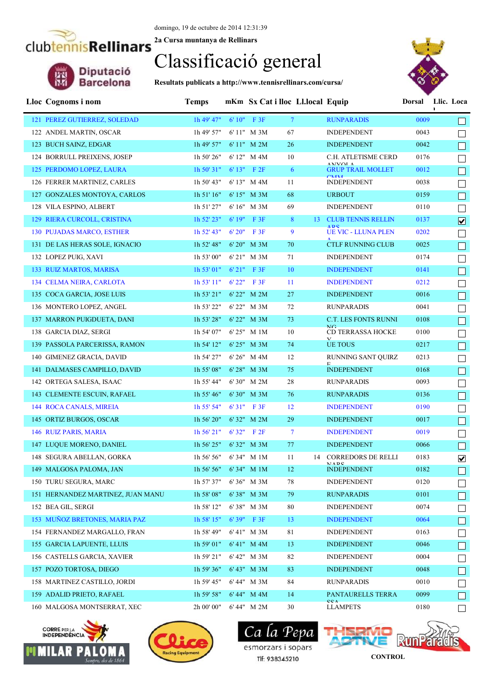domingo, 19 de octubre de 2014 12:31:39

**2a Cursa muntanya de Rellinars**

### Classificació general

**Resultats publicats a http://www.tennisrellinars.com/cursa/**



| Lloc Cognoms i nom                | <b>Temps</b>                  | mKm Sx Cat i lloc Ll.local Equip |             |              |                                          | Dorsal Llic. Loca | L. |                         |
|-----------------------------------|-------------------------------|----------------------------------|-------------|--------------|------------------------------------------|-------------------|----|-------------------------|
| 121 PEREZ GUTIERREZ, SOLEDAD      | $1h$ 49' 47"                  | $6'10''$ F 3F                    | $\tau$      |              | <b>RUNPARADIS</b>                        | 0009              |    |                         |
| 122 ANDEL MARTIN, OSCAR           | 1h 49' 57"                    | 6' 11" M 3M                      | 67          |              | <b>INDEPENDENT</b>                       | 0043              |    |                         |
| 123 BUCH SAINZ, EDGAR             | $1h$ 49' 57"                  | $6' 11''$ M $2M$                 | 26          |              | <b>INDEPENDENT</b>                       | 0042              |    |                         |
| 124 BORRULL PREIXENS, JOSEP       | 1h 50' 26"                    | 6'12" M 4M                       | 10          |              | C.H. ATLETISME CERD                      | 0176              |    |                         |
| 125 PERDOMO LOPEZ, LAURA          | 1h 50' 31"                    | $6' 13''$ F $2F$                 | 6           |              | ANIVOL A<br><b>GRUP TRAIL MOLLET</b>     | 0012              |    | $\Box$                  |
| 126 FERRER MARTINEZ, CARLES       | 1h 50' 43"                    | $6' 13''$ M $4M$                 | 11          |              | CMAA<br><b>INDEPENDENT</b>               | 0038              |    |                         |
| 127 GONZALES MONTOYA, CARLOS      | 1h 51' 16"                    | $6' 15''$ M $3M$                 | 68          |              | <b>URBOUT</b>                            | 0159              |    |                         |
| 128 VILA ESPINO, ALBERT           | 1h 51' 27"                    | 6'16" M 3M                       | 69          |              | <b>INDEPENDENT</b>                       | 0110              |    | $\Box$                  |
| 129 RIERA CURCOLL, CRISTINA       | 1h 52' 23"                    | $6'19''$ F 3F                    | 8           |              | 13 CLUB TENNIS RELLIN                    | 0137              |    | $\overline{\mathbf{v}}$ |
| <b>130 PUJADAS MARCO, ESTHER</b>  | $1h$ 52' 43"                  | $6'20''$ F 3F                    | 9           |              | <b>ADC</b><br><b>UE VIC - LLUNA PLEN</b> | 0202              |    | П                       |
| 131 DE LAS HERAS SOLE, IGNACIO    | 1h 52' 48"                    | $6' 20''$ M $3M$                 | 70          |              | <b>CTLF RUNNING CLUB</b>                 | 0025              |    | $\Box$                  |
| 132 LOPEZ PUIG, XAVI              | 1h 53' 00"                    | 6' 21" M 3M                      | 71          |              | <b>INDEPENDENT</b>                       | 0174              |    | $\mathbb{R}^n$          |
| 133 RUIZ MARTOS, MARISA           | 1h 53' 01"                    | $6'21''$ F 3F                    | 10          |              | <b>INDEPENDENT</b>                       | 0141              |    | $\Box$                  |
| 134 CELMA NEIRA, CARLOTA          | 1h 53' 11"                    | 6'22" F3F                        | 11          |              | <b>INDEPENDENT</b>                       | 0212              |    | $\mathbf{I}$            |
| 135 COCA GARCIA, JOSE LUIS        | $1h 53' 21''$ 6' 22" M 2M     |                                  | 27          |              | <b>INDEPENDENT</b>                       | 0016              |    | $\Box$                  |
| 136 MONTERO LOPEZ, ANGEL          | 1h 53' 22"                    | 6' 22" M 3M                      | 72          |              | <b>RUNPARADIS</b>                        | 0041              |    | $\Box$                  |
| 137 MARRON PUIGDUETA, DANI        | 1h 53' 28"                    | 6' 22" M 3M                      | 73          |              | <b>C.T. LES FONTS RUNNI</b>              | 0108              |    | $\Box$                  |
| 138 GARCIA DIAZ, SERGI            | 1h 54' 07"                    | 6'25" M 1M                       | 10          |              | NG.<br><b>CD TERRASSA HOCKE</b>          | 0100              |    |                         |
| 139 PASSOLA PARCERISSA, RAMON     | 1h 54' 12"                    | $6' 25''$ M $3M$                 | 74          | $\mathbf{v}$ | UE TOUS                                  | 0217              |    | $\Box$                  |
| 140 GIMENEZ GRACIA, DAVID         | 1h 54' 27"                    | $6' 26''$ M $4M$                 | 12          |              | RUNNING SANT QUIRZ                       | 0213              |    |                         |
| 141 DALMASES CAMPILLO, DAVID      | 1h 55' 08"                    | 6'28" M 3M                       | 75          |              | <b>INDEPENDENT</b>                       | 0168              |    | П                       |
| 142 ORTEGA SALESA, ISAAC          | 1h 55' 44"                    | 6'30" M 2M                       | 28          |              | <b>RUNPARADIS</b>                        | 0093              |    |                         |
| 143 CLEMENTE ESCUIN, RAFAEL       | 1h 55' 46"                    | $6'30''$ M $3M$                  | 76          |              | <b>RUNPARADIS</b>                        | 0136              |    |                         |
| 144 ROCA CANALS, MIREIA           | $1h$ 55' 54"                  | $6'31''$ F 3F                    | 12          |              | <b>INDEPENDENT</b>                       | 0190              |    |                         |
| 145 ORTIZ BURGOS, OSCAR           | 1h 56' 20"                    | $6'32"$ M $2M$                   | 29          |              | <b>INDEPENDENT</b>                       | 0017              |    |                         |
| 146 RUIZ PARIS, MARIA             | 1h 56' 21"                    | 6'32" F2F                        | $\tau$      |              | <b>INDEPENDENT</b>                       | 0019              |    |                         |
| 147 LUQUE MORENO, DANIEL          | 1h 56' 25"                    | $6'32"$ M $3M$                   | 77          |              | <b>INDEPENDENT</b>                       | 0066              |    |                         |
| 148 SEGURA ABELLAN, GORKA         | 1h 56' 56"                    | 6'34" M 1M                       | 11          |              | 14 CORREDORS DE RELLI                    | 0183              |    | $\blacktriangledown$    |
| 149 MALGOSA PALOMA, JAN           | $1h\,56'\,56''$ 6' 34" M $1M$ |                                  | 12          |              | MADC<br><b>INDEPENDENT</b>               | 0182              |    | $\Box$                  |
| 150 TURU SEGURA, MARC             | 1h 57' 37"                    | 6'36" M 3M                       | 78          |              | <b>INDEPENDENT</b>                       | 0120              |    |                         |
| 151 HERNANDEZ MARTINEZ, JUAN MANU | 1h 58' 08"                    | 6'38" M 3M                       | 79          |              | <b>RUNPARADIS</b>                        | 0101              |    |                         |
| 152 BEA GIL, SERGI                | 1h 58' 12"                    | 6'38" M 3M                       | 80          |              | <b>INDEPENDENT</b>                       | 0074              |    |                         |
| 153 MUÑOZ BRETONES, MARIA PAZ     | 1h 58' 15"                    | 6'39" F 3F                       | 13          |              | <b>INDEPENDENT</b>                       | 0064              |    |                         |
| 154 FERNANDEZ MARGALLO, FRAN      | 1h 58' 49"                    | 6'41" M 3M                       | $8\sqrt{1}$ |              | <b>INDEPENDENT</b>                       | 0163              |    |                         |
| 155 GARCIA LAPUENTE, LLUIS        | 1h 59' 01"                    | $6' 41''$ M $4M$                 | 13          |              | <b>INDEPENDENT</b>                       | 0046              |    |                         |
| 156 CASTELLS GARCIA, XAVIER       | 1h 59' 21"                    | 6'42" M 3M                       | 82          |              | <b>INDEPENDENT</b>                       | 0004              |    |                         |
| 157 POZO TORTOSA, DIEGO           | 1h 59' 36"                    | $6' 43''$ M $3M$                 | 83          |              | <b>INDEPENDENT</b>                       | 0048              |    |                         |
| 158 MARTINEZ CASTILLO, JORDI      | 1h 59' 45"                    | 6' 44" M 3M                      | 84          |              | <b>RUNPARADIS</b>                        | 0010              |    |                         |
| 159 ADALID PRIETO, RAFAEL         | 1h 59' 58"                    | 6' 44" M 4M                      | 14          |              | PANTAURELLS TERRA<br>CCA                 | 0099              |    |                         |
| 160 MALGOSA MONTSERRAT, XEC       | 2h 00' 00"                    | 6'44" M 2M                       | 30          |              | <b>LLAMPETS</b>                          | 0180              |    |                         |





Ca *La* esmorzars i sopars Tlf: 938345210

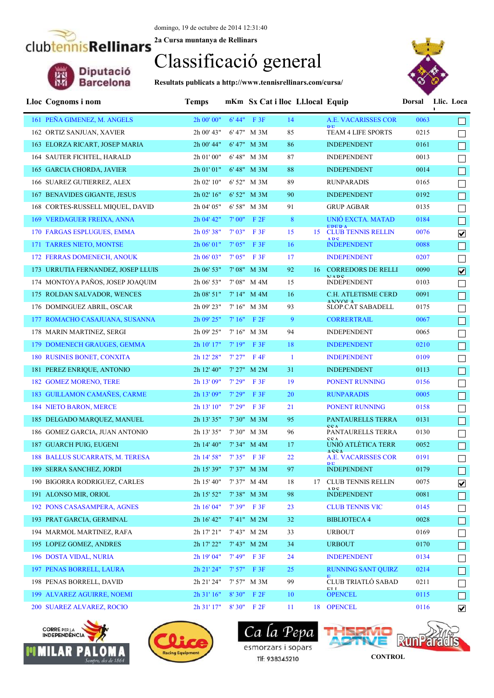#### domingo, 19 de octubre de 2014 12:31:40

**2a Cursa muntanya de Rellinars**

### Classificació general

**Resultats publicats a http://www.tennisrellinars.com/cursa/**



| Lloc Cognoms i nom                              | <b>Temps</b>           |        | mKm Sx Cat i lloc Ll.local Equip |              |                                        | Dorsal | Llic. Loca<br>L.        |
|-------------------------------------------------|------------------------|--------|----------------------------------|--------------|----------------------------------------|--------|-------------------------|
| 161 PEÑA GIMENEZ, M. ANGELS                     | 2h 00' 00"             |        | $6' 44''$ F 3F                   | 14           | <b>A.E. VACARISSES COR</b>             | 0063   |                         |
| 162 ORTIZ SANJUAN, XAVIER                       | 2h 00' 43"             |        | 6' 47" M 3M                      | 85           | TEAM 4 LIFE SPORTS                     | 0215   |                         |
| 163 ELORZA RICART, JOSEP MARIA                  | 2h 00' 44"             |        | $6' 47''$ M $3M$                 | 86           | <b>INDEPENDENT</b>                     | 0161   |                         |
| 164 SAUTER FICHTEL, HARALD                      | $2h\ 01'\ 00"$         |        | 6' 48" M 3M                      | 87           | <b>INDEPENDENT</b>                     | 0013   |                         |
| 165 GARCIA CHORDA, JAVIER                       | $2h\ 01'\ 01"$         |        | 6' 48" M 3M                      | 88           | <b>INDEPENDENT</b>                     | 0014   | $\Box$                  |
| 166 SUAREZ GUTIERREZ, ALEX                      | 2h 02' 10"             |        | 6' 52" M 3M                      | 89           | <b>RUNPARADIS</b>                      | 0165   |                         |
| 167 BENAVIDES GIGANTE, JESUS                    | 2h 02' 16"             |        | $6' 52''$ M $3M$                 | 90           | <b>INDEPENDENT</b>                     | 0192   | $\Box$                  |
| 168 CORTES-RUSSELL MIQUEL, DAVID                | 2h 04' 05"             |        | 6' 58" M 3M                      | 91           | <b>GRUP AGBAR</b>                      | 0135   | $\Box$                  |
| 169 VERDAGUER FREIXA, ANNA                      | 2h 04' 42"             |        | $7'00''$ F $2F$                  | 8            | UNIÓ EXCTA. MATAD                      | 0184   | $\Box$                  |
| 170 FARGAS ESPLUGUES, EMMA                      | 2h 05' 38"             | 7'03'' | F3F                              | 15           | <b>EDED A</b><br>15 CLUB TENNIS RELLIN | 0076   | $\overline{\mathbf{v}}$ |
| 171 TARRES NIETO, MONTSE                        | $2h\ 06'$ 01"          |        | $7'05''$ F 3F                    | 16           | <b>ADC</b><br><b>INDEPENDENT</b>       | 0088   | $\Box$                  |
| 172 FERRAS DOMENECH, ANOUK                      | $2h\ 06'$ 03"          | 7'05"  | F 3F                             | 17           | <b>INDEPENDENT</b>                     | 0207   | $\Box$                  |
| 173 URRUTIA FERNANDEZ, JOSEP LLUIS              | 2h 06' 53"             |        | 7'08" M 3M                       | 92           | 16 CORREDORS DE RELLI                  | 0090   | $\overline{\mathbf{v}}$ |
| 174 MONTOYA PAÑOS, JOSEP JOAQUIM                | 2h 06' 53"             |        | 7'08" M 4M                       | 15           | MADC<br><b>INDEPENDENT</b>             | 0103   | ⊔                       |
| 175 ROLDAN SALVADOR, WENCES                     | $2h\ 08'$ 51"          |        | 7'14" M 4M                       | 16           | C.H. ATLETISME CERD                    | 0091   | $\Box$                  |
| 176 DOMINGUEZ ABRIL, OSCAR                      | 2h 09' 23"             |        | $7' 16''$ M $3M$                 | 93           | <b>ANIVOLA</b><br>SLOP.CAT SABADELL    | 0175   | $\Box$                  |
| 177 ROMACHO CASAJUANA, SUSANNA                  | 2h 09' 25"             |        | $7'16''$ F $2F$                  | 9            | <b>CORRERTRAIL</b>                     | 0067   | $\Box$                  |
| 178 MARIN MARTINEZ, SERGI                       | 2h 09' 25"             |        | 7'16" M 3M                       | 94           | <b>INDEPENDENT</b>                     | 0065   | $\Box$                  |
| 179 DOMENECH GRAUGES, GEMMA                     | 2h 10' 17"             |        | $7'19''$ F 3F                    | 18           | <b>INDEPENDENT</b>                     | 0210   | $\Box$                  |
| 180 RUSINES BONET, CONXITA                      | 2h 12' 28"             |        | $7'27''$ F4F                     | $\mathbf{1}$ | <b>INDEPENDENT</b>                     | 0109   | $\Box$                  |
| 181 PEREZ ENRIQUE, ANTONIO                      | 2h 12' 40"             |        | $7'$ 27" M 2M                    | 31           | <b>INDEPENDENT</b>                     | 0113   | $\Box$                  |
| <b>182 GOMEZ MORENO, TERE</b>                   | 2h 13' 09"             | 7'29"  | F3F                              | 19           | PONENT RUNNING                         | 0156   | $\Box$                  |
| 183 GUILLAMON CAMAÑES, CARME                    | 2h 13' 09"             | 7'29"  | F3F                              | 20           | <b>RUNPARADIS</b>                      | 0005   |                         |
| 184 NIETO BARON, MERCE                          | 2h 13' 10"             | 7'29"  | F3F                              | 21           | PONENT RUNNING                         | 0158   |                         |
| 185 DELGADO MARQUEZ, MANUEL                     | 2h 13' 35"             |        | $7'30''$ M $3M$                  | 95           | PANTAURELLS TERRA                      | 0131   |                         |
| 186 GOMEZ GARCIA, JUAN ANTONIO                  | 2h 13' 35"             |        | 7' 30" M 3M                      | 96           | <b>CCA</b><br>PANTAURELLS TERRA<br>CCA | 0130   |                         |
| 187 GUARCH PUIG, EUGENI                         | 2h 14' 40"             |        | 7' 34" M 4M                      | 17           | UNIÓ ATLÈTICA TERR                     | 0052   |                         |
| 188 BALLUS SUCARRATS, M. TERESA                 | 2h 14' 58"             |        | $7'35''$ F 3F                    | 22           | A C C A<br>A.E. VACARISSES COR         | 0191   |                         |
| 189 SERRA SANCHEZ, JORDI AND ANN AN INSTITUTION | 2h 15' 39" 7' 37" M 3M |        |                                  | 97           | <b>DE</b><br><b>INDEPENDENT</b>        | 0179   | $\Box$                  |
| 190 BIGORRA RODRIGUEZ, CARLES                   | 2h 15' 40"             |        | 7' 37" M 4M                      | 18           | 17 CLUB TENNIS RELLIN<br>ADC           | 0075   | $\blacktriangledown$    |
| 191 ALONSO MIR, ORIOL                           | 2h 15' 52"             |        | 7'38" M 3M                       | 98           | <b>INDEPENDENT</b>                     | 0081   |                         |
| 192 PONS CASASAMPERA, AGNES                     | 2h 16' 04"             |        | $7'39''$ F 3F                    | 23           | <b>CLUB TENNIS VIC</b>                 | 0145   |                         |
| 193 PRAT GARCIA, GERMINAL                       | 2h 16' 42"             |        | 7'41" M 2M                       | 32           | <b>BIBLIOTECA 4</b>                    | 0028   |                         |
| 194 MARMOL MARTINEZ, RAFA                       | 2h 17' 21"             |        | 7' 43" M 2M                      | 33           | <b>URBOUT</b>                          | 0169   |                         |
| 195 LOPEZ GOMEZ, ANDRES                         | 2h 17' 22"             |        | $7' 43''$ M $2M$                 | 34           | <b>URBOUT</b>                          | 0170   |                         |
| 196 DOSTA VIDAL, NURIA                          | 2h 19' 04"             |        | $7'49''$ F 3F                    | 24           | <b>INDEPENDENT</b>                     | 0134   |                         |
| 197 PENAS BORRELL, LAURA                        | 2h 21' 24"             |        | 7'57" F 3F                       | 25           | RUNNING SANT QUIRZ                     | 0214   |                         |
| 198 PENAS BORRELL, DAVID                        | 2h 21' 24"             |        | 7' 57" M 3M                      | 99           | CLUB TRIATLÓ SABAD<br><b>CII</b>       | 0211   |                         |
| 199 ALVAREZ AGUIRRE, NOEMI                      | 2h 31' 16"             | 8'30"  | F2F                              | 10           | <b>OPENCEL</b>                         | 0115   |                         |
| 200 SUAREZ ALVAREZ, ROCIO                       | 2h 31'17" 8'30" F 2F   |        |                                  | 11           | 18 OPENCEL                             | 0116   | $\overline{\mathbf{v}}$ |